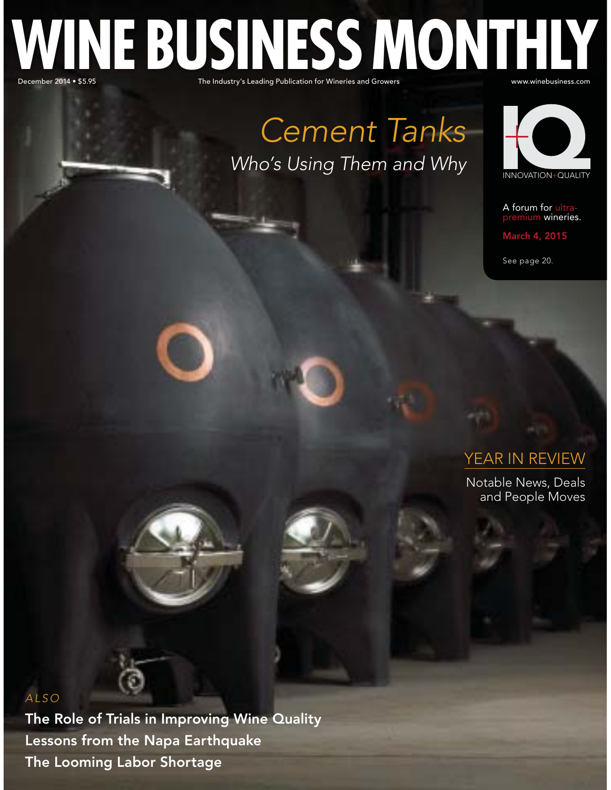# Prember 2014 • \$5.95 The Industry's Leading Publication for Wineries and Growers was well as well as well as w **WINE BUSINESS MONTHLY**

Cement Tanks Who's Using Them and Why



A forum for ultrapremium wineries.

March 4, 2015

See page 20.

## YEAR IN REVIEW

Notable News, Deals and People Moves

#### ALSO

The Role of Trials in Improving Wine Quality Lessons from the Napa Earthquake The Looming Labor Shortage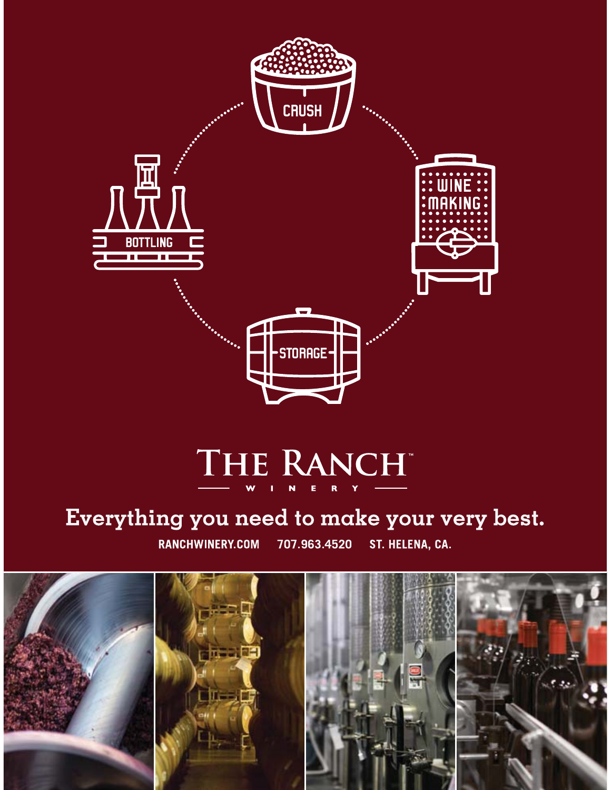

# THE RANCH

## Everything you need to make your very best.

RANCHWINERY.COM ST. HELENA, CA. 707.963.4520

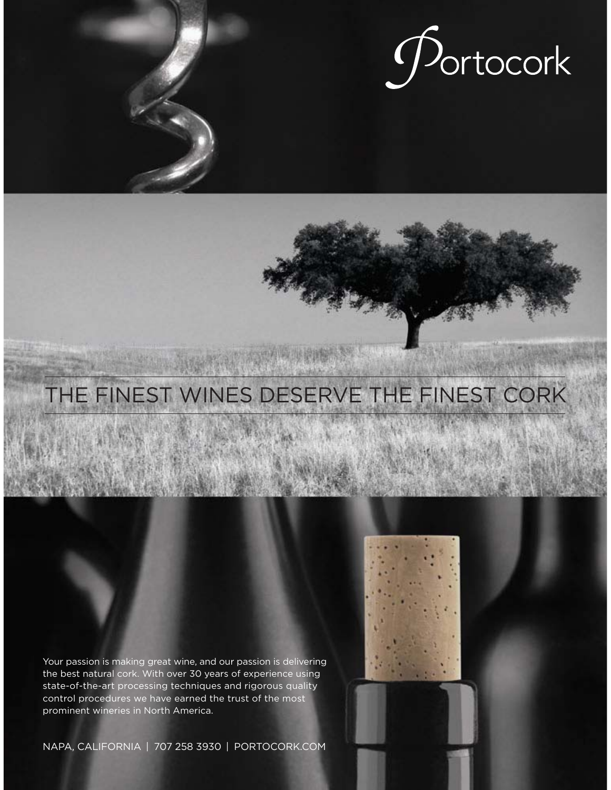

# THE FINEST WINES DESERVE THE FINEST CORK

Your passion is making great wine, and our passion is delivering the best natural cork. With over 30 years of experience using state-of-the-art processing techniques and rigorous quality control procedures we have earned the trust of the most prominent wineries in North America.

NAPA, CALIFORNIA | 707 258 3930 | PORTOCORK.COM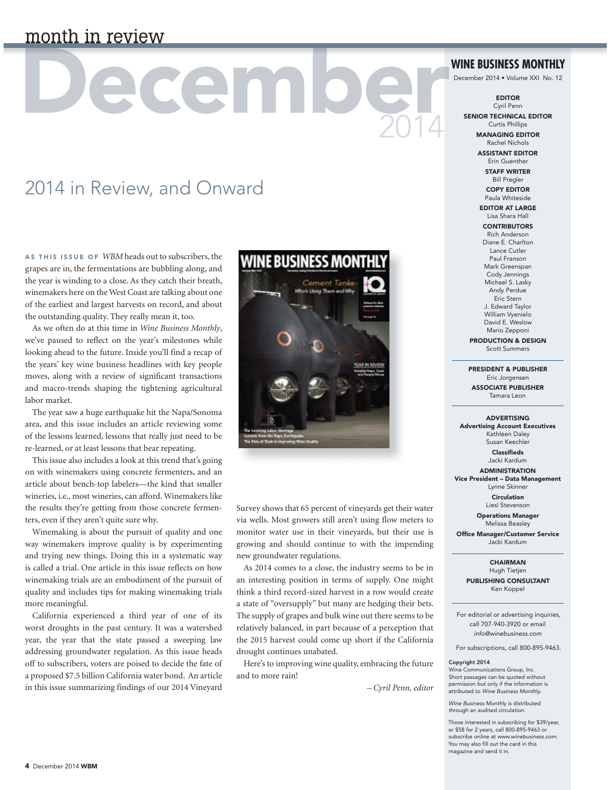## month in review

# acemio 2014

## 2014 in Review, and Onward

AS THIS ISSUE OF *WBM* heads out to subscribers, the grapes are in, the fermentations are bubbling along, and the year is winding to a close. As they catch their breath, winemakers here on the West Coast are talking about one of the earliest and largest harvests on record, and about the outstanding quality. They really mean it, too.

As we often do at this time in *Wine Business Monthly*, we've paused to reflect on the year's milestones while looking ahead to the future. Inside you'll find a recap of the years' key wine business headlines with key people moves, along with a review of significant transactions and macro-trends shaping the tightening agricultural labor market.

The year saw a huge earthquake hit the Napa/Sonoma area, and this issue includes an article reviewing some of the lessons learned, lessons that really just need to be re-learned, or at least lessons that bear repeating.

This issue also includes a look at this trend that's going on with winemakers using concrete fermenters, and an article about bench-top labelers—the kind that smaller wineries, i.e., most wineries, can afford. Winemakers like the results they're getting from those concrete fermenters, even if they aren't quite sure why.

Winemaking is about the pursuit of quality and one way winemakers improve quality is by experimenting and trying new things. Doing this in a systematic way is called a trial. One article in this issue reflects on how winemaking trials are an embodiment of the pursuit of quality and includes tips for making winemaking trials more meaningful.

California experienced a third year of one of its worst droughts in the past century. It was a watershed year, the year that the state passed a sweeping law addressing groundwater regulation. As this issue heads off to subscribers, voters are poised to decide the fate of a proposed \$7.5 billion California water bond. An article in this issue summarizing findings of our 2014 Vineyard



Survey shows that 65 percent of vineyards get their water via wells. Most growers still aren't using flow meters to monitor water use in their vineyards, but their use is growing and should continue to with the impending new groundwater regulations.

As 2014 comes to a close, the industry seems to be in an interesting position in terms of supply. One might think a third record-sized harvest in a row would create a state of "oversupply" but many are hedging their bets. The supply of grapes and bulk wine out there seems to be relatively balanced, in part because of a perception that the 2015 harvest could come up short if the California drought continues unabated.

Here's to improving wine quality, embracing the future and to more rain!

*– Cyril Penn, editor*

#### **WINE BUSINESS MONTHLY**

December 2014 • Volume XXI No. 12

EDITOR Cyril Penn

SENIOR TECHNICAL EDITOR Curtis Phillips

> MANAGING EDITOR Rachel Nichols

ASSISTANT EDITOR Erin Guenther STAFF WRITER

Bill Pregler COPY EDITOR

Paula Whiteside EDITOR AT LARGE

Lisa Shara Hall **CONTRIBUTORS** 

Rich Anderson Diane E. Charlton Lance Cutler Paul Franson Mark Greenspan Cody Jennings Michael S. Lasky Andy Perdue Eric Stern J. Edward Taylor William Vyenielo

David E. Weslow Mario Zepponi PRODUCTION & DESIGN

Scott Summers

PRESIDENT & PUBLISHER Eric Jorgensen ASSOCIATE PUBLISHER Tamara Leon

#### ADVERTISING

Advertising Account Executives Kathleen Daley Susan Keechler

> Classifieds Jacki Kardum **ADMINISTRATION**

Vice President – Data Management Lynne Skinner

> Circulation Liesl Stevenson

Operations Manager Melissa Beasley

Office Manager/Customer Service Jacki Kardum

> CHAIRMAN Hugh Tietjen PUBLISHING CONSULTANT Ken Koppel

For editorial or advertising inquiries, call 707-940-3920 or email info@winebusiness.com

For subscriptions, call 800-895-9463.

#### Copyright 2014

Wine Communications Group, Inc. Short passages can be quoted without permission but only if the information is attributed to Wine Business Monthly.

Wine Business Monthly is distributed through an audited circulation.

Those interested in subscribing for \$39/year, or \$58 for 2 years, call 800-895-9463 or subscribe online at www.winebusiness.com. You may also fill out the card in this magazine and send it in.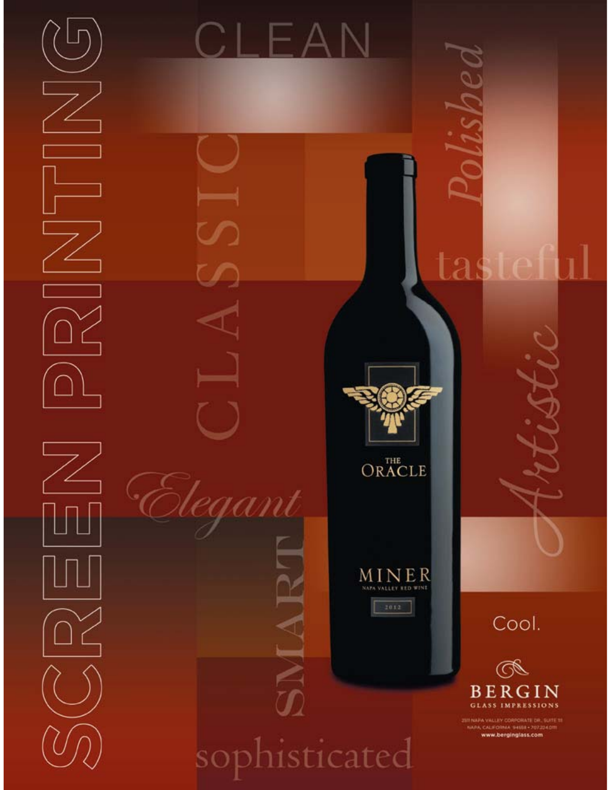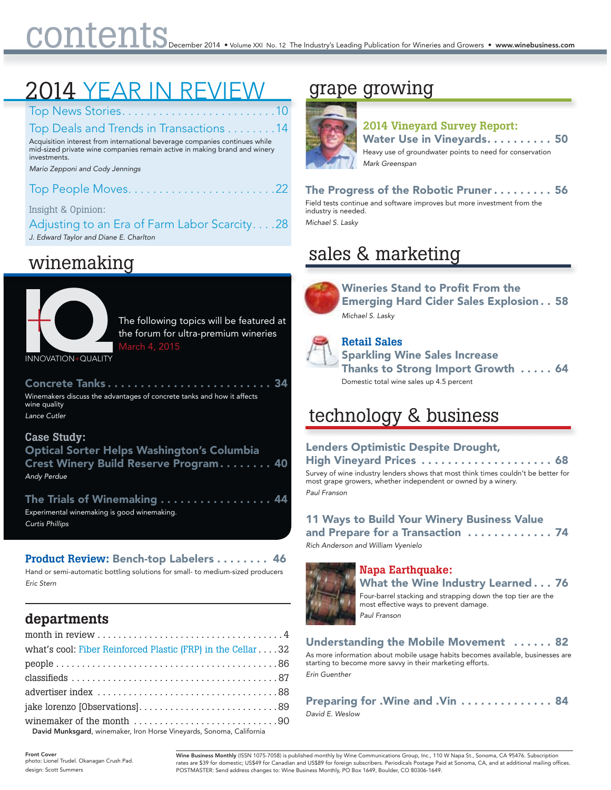## 2014 YEAR IN REVIEW

Top News Stories. . . . . . . . . . . . . . . . . . . . . . . . .10

Top Deals and Trends in Transactions . . . . . . . .14 Acquisition interest from international beverage companies continues while mid-sized private wine companies remain active in making brand and winery investments.

Mario Zepponi and Cody Jennings

Top People Moves. . . . . . . . . . . . . . . . . . . . . . . .22

Insight & Opinion:

Adjusting to an Era of Farm Labor Scarcity. . . .28 J. Edward Taylor and Diane E. Charlton

## winemaking



The following topics will be featured at the forum for ultra-premium wineries March 4, 2015

INNOVATION+QUALITY

Concrete Tanks............................. 34 Winemakers discuss the advantages of concrete tanks and how it affects wine quality Lance Cutler

#### **Case Study:**

Optical Sorter Helps Washington's Columbia Crest Winery Build Reserve Program . . . . . . . . 40 Andy Perdue

The Trials of Winemaking .................. 44 Experimental winemaking is good winemaking. Curtis Phillips

#### **Product Review:** Bench-top Labelers . . . . . . . . 46

Hand or semi-automatic bottling solutions for small- to medium-sized producers Eric Stern

### **departments**

| what's cool: Fiber Reinforced Plastic (FRP) in the Cellar 32           |
|------------------------------------------------------------------------|
|                                                                        |
|                                                                        |
|                                                                        |
|                                                                        |
| David Munkanand wis analyse lease Hause Viscousels, Canana, California |

David Munksgard, winemaker, Iron Horse Vineyards, Sonoma, California

## grape growing



#### **2014 Vineyard Survey Report:** Water Use in Vineyards. . . . . . . . . . 50 Heavy use of groundwater points to need for conservation Mark Greenspan

The Progress of the Robotic Pruner . . . . . . . . . 56 Field tests continue and software improves but more investment from the industry is needed. Michael S. Lasky

## sales & marketing g



Wineries Stand to Profit From the Emerging Hard Cider Sales Explosion . . 58 Michael S. Lasky



**Retail Sales** Sparkling Wine Sales Increase Thanks to Strong Import Growth ..... 64

## technology & business

Domestic total wine sales up 4.5 percent

#### Lenders Optimistic Despite Drought,

High Vineyard Prices ...................... 68 Survey of wine industry lenders shows that most think times couldn't be better for most grape growers, whether independent or owned by a winery. Paul Franson

#### 11 Ways to Build Your Winery Business Value and Prepare for a Transaction ............. 74

Rich Anderson and William Vyenielo



#### **Napa Earthquake:**

What the Wine Industry Learned . . . 76 Four-barrel stacking and strapping down the top tier are the most effective ways to prevent damage. Paul Franson

#### Understanding the Mobile Movement . . . . . . 82

As more information about mobile usage habits becomes available, businesses are starting to become more savvy in their marketing efforts. Erin Guenther

#### Preparing for .Wine and .Vin . . . . . . . . . . . . . . 84 David E. Weslow

Front Cover photo: Lionel Trudel. Okanagan Crush Pad. design: Scott Summers

Wine Business Monthly (ISSN 1075-7058) is published monthly by Wine Communications Group, Inc., 110 W Napa St., Sonoma, CA 95476. Subscriptior rates are \$39 for domestic; US\$49 for Canadian and US\$89 for foreign subscribers. Periodicals Postage Paid at Sonoma, CA, and at additional mailing offices.<br>POSTMASTER: Send address changes to: Wine Business Monthly, PO Bo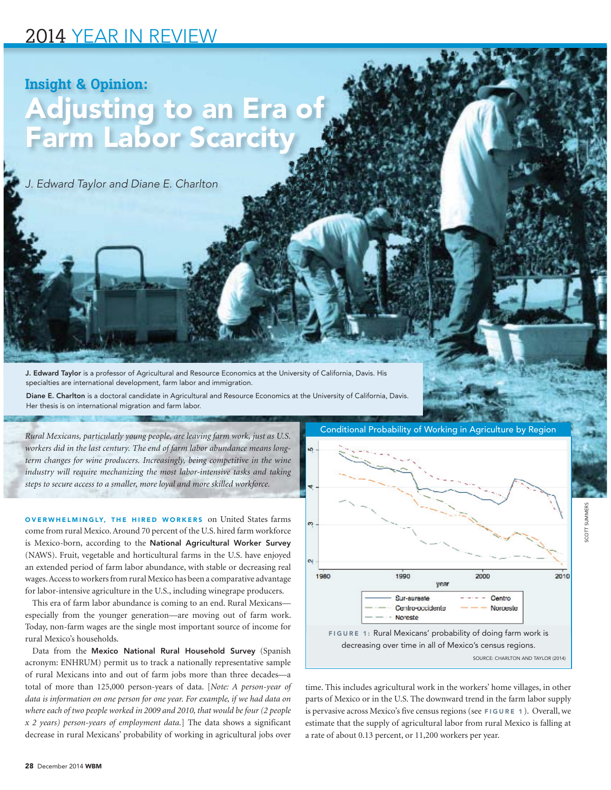### 2014 YEAR IN REVIEW

## **Insight & Opinion:** Adjusting to an Era of Farm Labor Scarcit

J. Edward Taylor and Diane E. Charlton

J. Edward Taylor is a professor of Agricultural and Resource Economics at the University of California, Davis. His specialties are international development, farm labor and immigration.

Diane E. Charlton is a doctoral candidate in Agricultural and Resource Economics at the University of California, Davis. Her thesis is on international migration and farm labor.

*workers did in the last century. The end of farm labor abundance means longterm changes for wine producers. Increasingly, being competitive in the wine industry will require mechanizing the most labor-intensive tasks and taking steps to secure access to a smaller, more loyal and more skilled workforce.*

OVERWHELMINGLY, THE HIRED WORKERS on United States farms come from rural Mexico. Around 70 percent of the U.S. hired farm workforce is Mexico-born, according to the National Agricultural Worker Survey (NAWS). Fruit, vegetable and horticultural farms in the U.S. have enjoyed an extended period of farm labor abundance, with stable or decreasing real wages. Access to workers from rural Mexico has been a comparative advantage for labor-intensive agriculture in the U.S., including winegrape producers.

This era of farm labor abundance is coming to an end. Rural Mexicans especially from the younger generation—are moving out of farm work. Today, non-farm wages are the single most important source of income for rural Mexico's households.

Data from the Mexico National Rural Household Survey (Spanish acronym: ENHRUM) permit us to track a nationally representative sample of rural Mexicans into and out of farm jobs more than three decades—a total of more than 125,000 person-years of data. [*Note: A person-year of data is information on one person for one year. For example, if we had data on where each of two people worked in 2009 and 2010, that would be four (2 people x 2 years) person-years of employment data.*] The data shows a significant decrease in rural Mexicans' probability of working in agricultural jobs over



time. This includes agricultural work in the workers' home villages, in other parts of Mexico or in the U.S. The downward trend in the farm labor supply is pervasive across Mexico's five census regions (see FIGURE 1 ). Overall, we estimate that the supply of agricultural labor from rural Mexico is falling at a rate of about 0.13 percent, or 11,200 workers per year.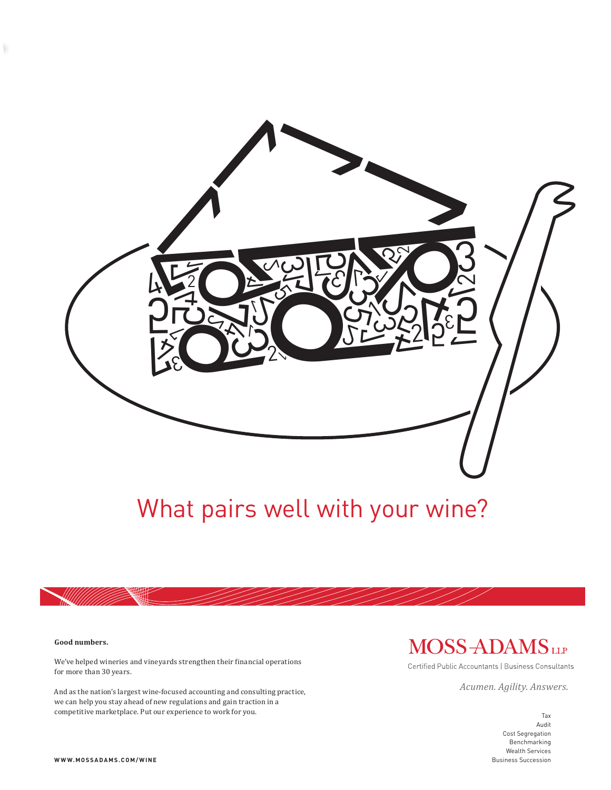

# What pairs well with your wine?

#### **Good numbers.**

ł,

We've helped wineries and vineyards strengthen their financial operations for more than 30 years.

And as the nation's largest wine-focused accounting and consulting practice, we can help you stay ahead of new regulations and gain traction in a competitive marketplace. Put our experience to work for you. The state of the state of the state of the state of the state of the state of the state of the state of the state of the state of the state of the state of the s

## MOSS-ADAMSLLP

Certified Public Accountants | Business Consultants

*Acumen. Agility. Answers.*

Audit Cost Segregation Benchmarking Wealth Services Business Succession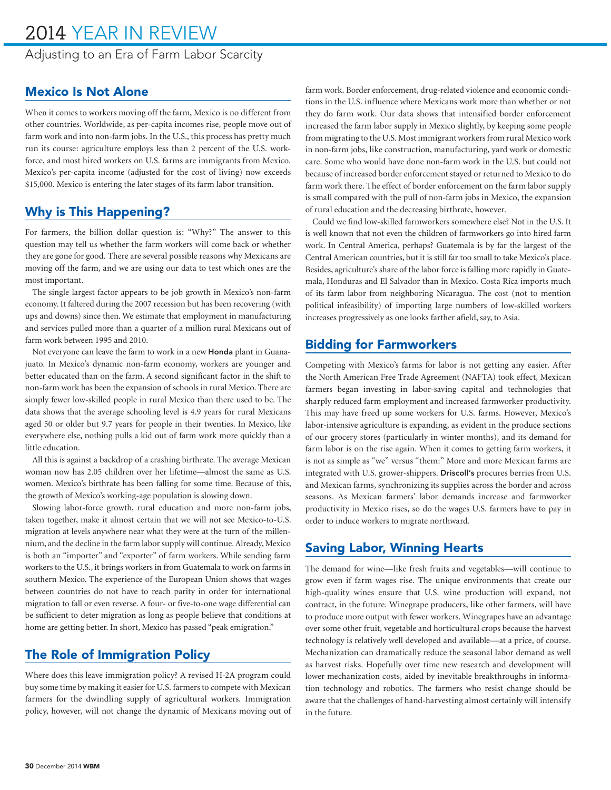## 2014 YEAR IN REVIEW

Adjusting to an Era of Farm Labor Scarcity

#### Mexico Is Not Alone

When it comes to workers moving off the farm, Mexico is no different from other countries. Worldwide, as per-capita incomes rise, people move out of farm work and into non-farm jobs. In the U.S., this process has pretty much run its course: agriculture employs less than 2 percent of the U.S. workforce, and most hired workers on U.S. farms are immigrants from Mexico. Mexico's per-capita income (adjusted for the cost of living) now exceeds \$15,000. Mexico is entering the later stages of its farm labor transition.

#### Why is This Happening?

For farmers, the billion dollar question is: "Why?" The answer to this question may tell us whether the farm workers will come back or whether they are gone for good. There are several possible reasons why Mexicans are moving off the farm, and we are using our data to test which ones are the most important.

The single largest factor appears to be job growth in Mexico's non-farm economy. It faltered during the 2007 recession but has been recovering (with ups and downs) since then. We estimate that employment in manufacturing and services pulled more than a quarter of a million rural Mexicans out of farm work between 1995 and 2010.

Not everyone can leave the farm to work in a new Honda plant in Guanajuato. In Mexico's dynamic non-farm economy, workers are younger and better educated than on the farm. A second significant factor in the shift to non-farm work has been the expansion of schools in rural Mexico. There are simply fewer low-skilled people in rural Mexico than there used to be. The data shows that the average schooling level is 4.9 years for rural Mexicans aged 50 or older but 9.7 years for people in their twenties. In Mexico, like everywhere else, nothing pulls a kid out of farm work more quickly than a little education.

All this is against a backdrop of a crashing birthrate. The average Mexican woman now has 2.05 children over her lifetime—almost the same as U.S. women. Mexico's birthrate has been falling for some time. Because of this, the growth of Mexico's working-age population is slowing down.

Slowing labor-force growth, rural education and more non-farm jobs, taken together, make it almost certain that we will not see Mexico-to-U.S. migration at levels anywhere near what they were at the turn of the millennium, and the decline in the farm labor supply will continue. Already, Mexico is both an "importer" and "exporter" of farm workers. While sending farm workers to the U.S., it brings workers in from Guatemala to work on farms in southern Mexico. The experience of the European Union shows that wages between countries do not have to reach parity in order for international migration to fall or even reverse. A four- or five-to-one wage differential can be sufficient to deter migration as long as people believe that conditions at home are getting better. In short, Mexico has passed "peak emigration."

#### The Role of Immigration Policy

Where does this leave immigration policy? A revised H-2A program could buy some time by making it easier for U.S. farmers to compete with Mexican farmers for the dwindling supply of agricultural workers. Immigration policy, however, will not change the dynamic of Mexicans moving out of farm work. Border enforcement, drug-related violence and economic conditions in the U.S. influence where Mexicans work more than whether or not they do farm work. Our data shows that intensified border enforcement increased the farm labor supply in Mexico slightly, by keeping some people from migrating to the U.S. Most immigrant workers from rural Mexico work in non-farm jobs, like construction, manufacturing, yard work or domestic care. Some who would have done non-farm work in the U.S. but could not because of increased border enforcement stayed or returned to Mexico to do farm work there. The effect of border enforcement on the farm labor supply is small compared with the pull of non-farm jobs in Mexico, the expansion of rural education and the decreasing birthrate, however.

Could we find low-skilled farmworkers somewhere else? Not in the U.S. It is well known that not even the children of farmworkers go into hired farm work. In Central America, perhaps? Guatemala is by far the largest of the Central American countries, but it is still far too small to take Mexico's place. Besides, agriculture's share of the labor force is falling more rapidly in Guatemala, Honduras and El Salvador than in Mexico. Costa Rica imports much of its farm labor from neighboring Nicaragua. The cost (not to mention political infeasibility) of importing large numbers of low-skilled workers increases progressively as one looks farther afield, say, to Asia.

#### Bidding for Farmworkers

Competing with Mexico's farms for labor is not getting any easier. After the North American Free Trade Agreement (NAFTA) took effect, Mexican farmers began investing in labor-saving capital and technologies that sharply reduced farm employment and increased farmworker productivity. This may have freed up some workers for U.S. farms. However, Mexico's labor-intensive agriculture is expanding, as evident in the produce sections of our grocery stores (particularly in winter months), and its demand for farm labor is on the rise again. When it comes to getting farm workers, it is not as simple as "we" versus "them:" More and more Mexican farms are integrated with U.S. grower-shippers. Driscoll's procures berries from U.S. and Mexican farms, synchronizing its supplies across the border and across seasons. As Mexican farmers' labor demands increase and farmworker productivity in Mexico rises, so do the wages U.S. farmers have to pay in order to induce workers to migrate northward.

#### Saving Labor, Winning Hearts

The demand for wine—like fresh fruits and vegetables—will continue to grow even if farm wages rise. The unique environments that create our high-quality wines ensure that U.S. wine production will expand, not contract, in the future. Winegrape producers, like other farmers, will have to produce more output with fewer workers. Winegrapes have an advantage over some other fruit, vegetable and horticultural crops because the harvest technology is relatively well developed and available—at a price, of course. Mechanization can dramatically reduce the seasonal labor demand as well as harvest risks. Hopefully over time new research and development will lower mechanization costs, aided by inevitable breakthroughs in information technology and robotics. The farmers who resist change should be aware that the challenges of hand-harvesting almost certainly will intensify in the future.